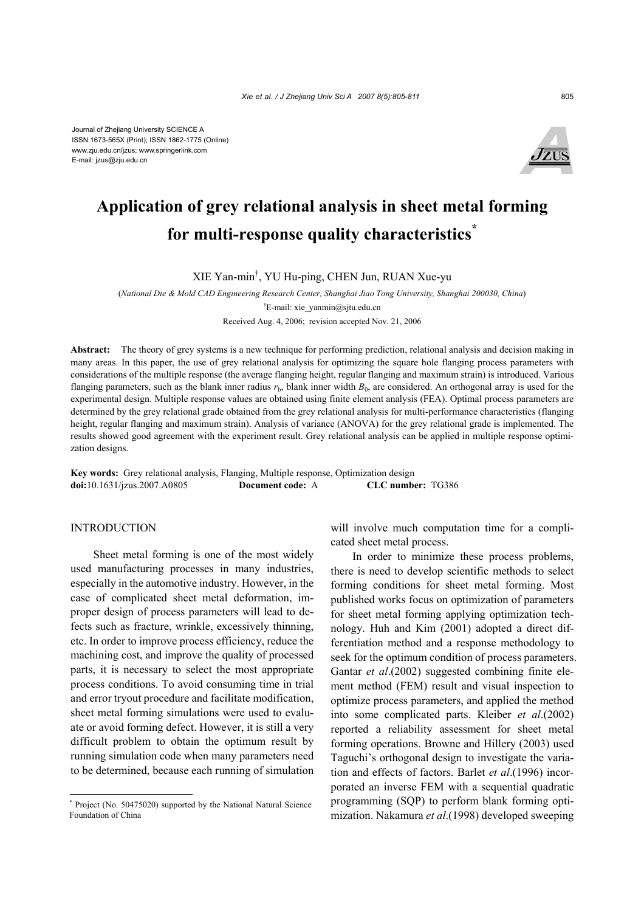

# **Application of grey relational analysis in sheet metal forming for multi-response quality characteristics\***

XIE Yan-min† , YU Hu-ping, CHEN Jun, RUAN Xue-yu

(*National Die & Mold CAD Engineering Research Center, Shanghai Jiao Tong University, Shanghai 200030, China*)

† E-mail: xie\_yanmin@sjtu.edu.cn

Received Aug. 4, 2006; revision accepted Nov. 21, 2006

**Abstract:** The theory of grey systems is a new technique for performing prediction, relational analysis and decision making in many areas. In this paper, the use of grey relational analysis for optimizing the square hole flanging process parameters with considerations of the multiple response (the average flanging height, regular flanging and maximum strain) is introduced. Various flanging parameters, such as the blank inner radius  $r<sub>b</sub>$ , blank inner width  $B<sub>0</sub>$ , are considered. An orthogonal array is used for the experimental design. Multiple response values are obtained using finite element analysis (FEA). Optimal process parameters are determined by the grey relational grade obtained from the grey relational analysis for multi-performance characteristics (flanging height, regular flanging and maximum strain). Analysis of variance (ANOVA) for the grey relational grade is implemented. The results showed good agreement with the experiment result. Grey relational analysis can be applied in multiple response optimization designs.

**Key words:** Grey relational analysis, Flanging, Multiple response, Optimization design **doi:**10.1631/jzus.2007.A0805 **Document code:** A **CLC number:** TG386

#### INTRODUCTION

Sheet metal forming is one of the most widely used manufacturing processes in many industries, especially in the automotive industry. However, in the case of complicated sheet metal deformation, improper design of process parameters will lead to defects such as fracture, wrinkle, excessively thinning, etc. In order to improve process efficiency, reduce the machining cost, and improve the quality of processed parts, it is necessary to select the most appropriate process conditions. To avoid consuming time in trial and error tryout procedure and facilitate modification, sheet metal forming simulations were used to evaluate or avoid forming defect. However, it is still a very difficult problem to obtain the optimum result by running simulation code when many parameters need to be determined, because each running of simulation will involve much computation time for a complicated sheet metal process.

In order to minimize these process problems, there is need to develop scientific methods to select forming conditions for sheet metal forming. Most published works focus on optimization of parameters for sheet metal forming applying optimization technology. Huh and Kim (2001) adopted a direct differentiation method and a response methodology to seek for the optimum condition of process parameters. Gantar *et al*.(2002) suggested combining finite element method (FEM) result and visual inspection to optimize process parameters, and applied the method into some complicated parts. Kleiber *et al*.(2002) reported a reliability assessment for sheet metal forming operations. Browne and Hillery (2003) used Taguchi's orthogonal design to investigate the variation and effects of factors. Barlet *et al*.(1996) incorporated an inverse FEM with a sequential quadratic programming (SQP) to perform blank forming optimization. Nakamura *et al*.(1998) developed sweeping

<sup>\*</sup> Project (No. 50475020) supported by the National Natural Science Foundation of China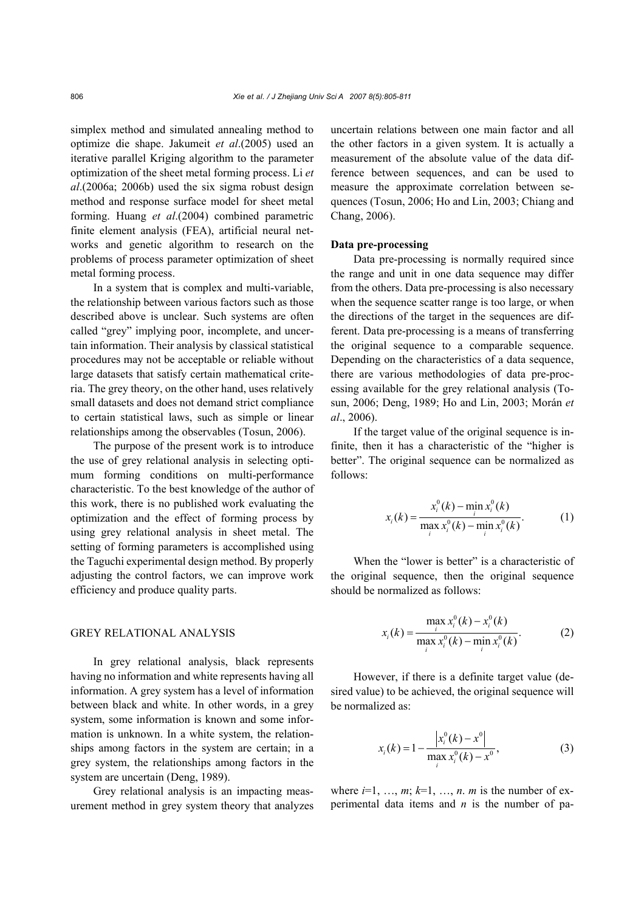simplex method and simulated annealing method to optimize die shape. Jakumeit *et al*.(2005) used an iterative parallel Kriging algorithm to the parameter optimization of the sheet metal forming process. Li *et al*.(2006a; 2006b) used the six sigma robust design method and response surface model for sheet metal forming. Huang *et al*.(2004) combined parametric finite element analysis (FEA), artificial neural networks and genetic algorithm to research on the problems of process parameter optimization of sheet metal forming process.

In a system that is complex and multi-variable, the relationship between various factors such as those described above is unclear. Such systems are often called "grey" implying poor, incomplete, and uncertain information. Their analysis by classical statistical procedures may not be acceptable or reliable without large datasets that satisfy certain mathematical criteria. The grey theory, on the other hand, uses relatively small datasets and does not demand strict compliance to certain statistical laws, such as simple or linear relationships among the observables (Tosun, 2006).

The purpose of the present work is to introduce the use of grey relational analysis in selecting optimum forming conditions on multi-performance characteristic. To the best knowledge of the author of this work, there is no published work evaluating the optimization and the effect of forming process by using grey relational analysis in sheet metal. The setting of forming parameters is accomplished using the Taguchi experimental design method. By properly adjusting the control factors, we can improve work efficiency and produce quality parts.

## GREY RELATIONAL ANALYSIS

In grey relational analysis, black represents having no information and white represents having all information. A grey system has a level of information between black and white. In other words, in a grey system, some information is known and some information is unknown. In a white system, the relationships among factors in the system are certain; in a grey system, the relationships among factors in the system are uncertain (Deng, 1989).

Grey relational analysis is an impacting measurement method in grey system theory that analyzes uncertain relations between one main factor and all the other factors in a given system. It is actually a measurement of the absolute value of the data difference between sequences, and can be used to measure the approximate correlation between sequences (Tosun, 2006; Ho and Lin, 2003; Chiang and Chang, 2006).

#### **Data pre-processing**

Data pre-processing is normally required since the range and unit in one data sequence may differ from the others. Data pre-processing is also necessary when the sequence scatter range is too large, or when the directions of the target in the sequences are different. Data pre-processing is a means of transferring the original sequence to a comparable sequence. Depending on the characteristics of a data sequence, there are various methodologies of data pre-processing available for the grey relational analysis (Tosun, 2006; Deng, 1989; Ho and Lin, 2003; Morán *et al*., 2006).

If the target value of the original sequence is infinite, then it has a characteristic of the "higher is better". The original sequence can be normalized as follows:

$$
x_i(k) = \frac{x_i^0(k) - \min_i x_i^0(k)}{\max_i x_i^0(k) - \min_i x_i^0(k)}.
$$
 (1)

When the "lower is better" is a characteristic of the original sequence, then the original sequence should be normalized as follows:

$$
x_i(k) = \frac{\max_i x_i^0(k) - x_i^0(k)}{\max_i x_i^0(k) - \min_i x_i^0(k)}.
$$
 (2)

However, if there is a definite target value (desired value) to be achieved, the original sequence will be normalized as:

$$
x_i(k) = 1 - \frac{\left|x_i^0(k) - x^0\right|}{\max_i x_i^0(k) - x^0},
$$
\n(3)

where  $i=1, \ldots, m; k=1, \ldots, n$ . *m* is the number of experimental data items and *n* is the number of pa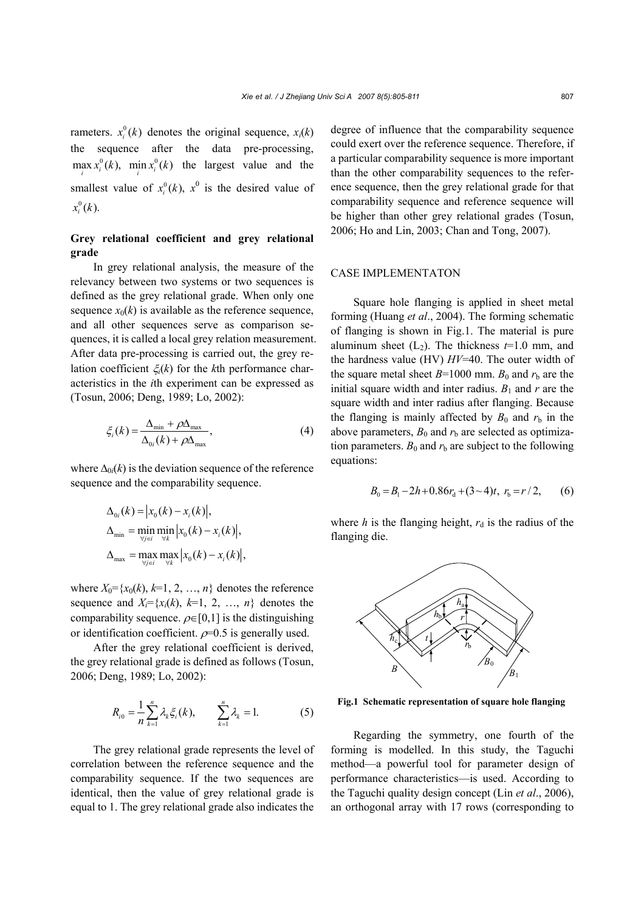rameters.  $x_i^0(k)$  denotes the original sequence,  $x_i(k)$ the sequence after the data pre-processing,  $\max_i x_i^0(k)$ ,  $\min_i x_i^0(k)$  the largest value and the smallest value of  $x_i^0(k)$ ,  $x^0$  is the desired value of  $x_i^0(k)$ .

# **Grey relational coefficient and grey relational grade**

In grey relational analysis, the measure of the relevancy between two systems or two sequences is defined as the grey relational grade. When only one sequence  $x_0(k)$  is available as the reference sequence, and all other sequences serve as comparison sequences, it is called a local grey relation measurement. After data pre-processing is carried out, the grey relation coefficient ξ*i*(*k*) for the *k*th performance characteristics in the *i*th experiment can be expressed as (Tosun, 2006; Deng, 1989; Lo, 2002):

$$
\xi_i(k) = \frac{\Delta_{\min} + \rho \Delta_{\max}}{\Delta_{0i}(k) + \rho \Delta_{\max}},
$$
\n(4)

where  $\Delta_{0i}(k)$  is the deviation sequence of the reference sequence and the comparability sequence.

$$
\Delta_{0i}(k) = |x_0(k) - x_i(k)|,
$$
  
\n
$$
\Delta_{\min} = \min_{\forall j \in i} \min_{\forall k} |x_0(k) - x_i(k)|,
$$
  
\n
$$
\Delta_{\max} = \max_{\forall j \in i} \max_{\forall k} |x_0(k) - x_i(k)|,
$$

where  $X_0 = \{x_0(k), k=1, 2, ..., n\}$  denotes the reference sequence and  $X_i = \{x_i(k), k=1, 2, ..., n\}$  denotes the comparability sequence.  $\rho \in [0,1]$  is the distinguishing or identification coefficient.  $\rho$ =0.5 is generally used.

After the grey relational coefficient is derived, the grey relational grade is defined as follows (Tosun, 2006; Deng, 1989; Lo, 2002):

$$
R_{i0} = \frac{1}{n} \sum_{k=1}^{n} \lambda_k \xi_i(k), \qquad \sum_{k=1}^{n} \lambda_k = 1. \tag{5}
$$

The grey relational grade represents the level of correlation between the reference sequence and the comparability sequence. If the two sequences are identical, then the value of grey relational grade is equal to 1. The grey relational grade also indicates the degree of influence that the comparability sequence could exert over the reference sequence. Therefore, if a particular comparability sequence is more important than the other comparability sequences to the reference sequence, then the grey relational grade for that comparability sequence and reference sequence will be higher than other grey relational grades (Tosun, 2006; Ho and Lin, 2003; Chan and Tong, 2007).

#### CASE IMPLEMENTATON

Square hole flanging is applied in sheet metal forming (Huang *et al*., 2004). The forming schematic of flanging is shown in Fig.1. The material is pure aluminum sheet  $(L_2)$ . The thickness  $t=1.0$  mm, and the hardness value (HV) *HV*=40. The outer width of the square metal sheet  $B=1000$  mm.  $B_0$  and  $r<sub>b</sub>$  are the initial square width and inter radius.  $B_1$  and  $r$  are the square width and inter radius after flanging. Because the flanging is mainly affected by  $B_0$  and  $r<sub>b</sub>$  in the above parameters,  $B_0$  and  $r<sub>b</sub>$  are selected as optimization parameters.  $B_0$  and  $r<sub>b</sub>$  are subject to the following equations:

$$
B_0 = B_1 - 2h + 0.86r_d + (3 \sim 4)t, r_b = r/2, \qquad (6)
$$

where  $h$  is the flanging height,  $r_d$  is the radius of the flanging die.



**Fig.1 Schematic representation of square hole flanging**

Regarding the symmetry, one fourth of the forming is modelled. In this study, the Taguchi method—a powerful tool for parameter design of performance characteristics—is used. According to the Taguchi quality design concept (Lin *et al*., 2006), an orthogonal array with 17 rows (corresponding to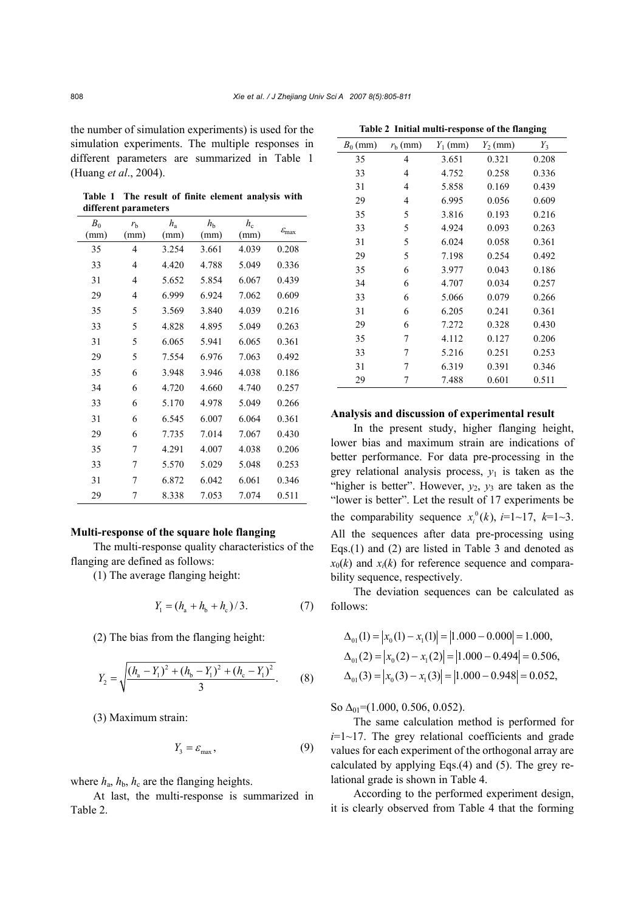the number of simulation experiments) is used for the simulation experiments. The multiple responses in different parameters are summarized in Table 1 (Huang *et al*., 2004).

**Table 1 The result of finite element analysis with different parameters** 

| $B_0$ | $r_{\rm h}$ | $h_{\rm a}$ | $h_{\rm b}$ | $h_{\rm c}$ |                            |
|-------|-------------|-------------|-------------|-------------|----------------------------|
| (mm)  | (mm)        | (mm)        | (mm)        | (mm)        | $\mathcal{E}_{\text{max}}$ |
| 35    | 4           | 3.254       | 3.661       | 4.039       | 0.208                      |
| 33    | 4           | 4.420       | 4.788       | 5.049       | 0.336                      |
| 31    | 4           | 5.652       | 5.854       | 6.067       | 0.439                      |
| 29    | 4           | 6.999       | 6.924       | 7.062       | 0.609                      |
| 35    | 5           | 3.569       | 3.840       | 4.039       | 0.216                      |
| 33    | 5           | 4.828       | 4.895       | 5.049       | 0.263                      |
| 31    | 5           | 6.065       | 5.941       | 6.065       | 0.361                      |
| 29    | 5           | 7.554       | 6.976       | 7.063       | 0.492                      |
| 35    | 6           | 3.948       | 3.946       | 4.038       | 0.186                      |
| 34    | 6           | 4.720       | 4.660       | 4.740       | 0.257                      |
| 33    | 6           | 5.170       | 4.978       | 5.049       | 0.266                      |
| 31    | 6           | 6.545       | 6.007       | 6.064       | 0.361                      |
| 29    | 6           | 7.735       | 7.014       | 7.067       | 0.430                      |
| 35    | 7           | 4.291       | 4.007       | 4.038       | 0.206                      |
| 33    | 7           | 5.570       | 5.029       | 5.048       | 0.253                      |
| 31    | 7           | 6.872       | 6.042       | 6.061       | 0.346                      |
| 29    | 7           | 8.338       | 7.053       | 7.074       | 0.511                      |

### **Multi-response of the square hole flanging**

The multi-response quality characteristics of the flanging are defined as follows:

(1) The average flanging height:

$$
Y_1 = (h_a + h_b + h_c)/3.
$$
 (7)

(2) The bias from the flanging height:

$$
Y_2 = \sqrt{\frac{(h_a - Y_1)^2 + (h_b - Y_1)^2 + (h_c - Y_1)^2}{3}}.
$$
 (8)

(3) Maximum strain:

$$
Y_3 = \varepsilon_{\text{max}},\tag{9}
$$

where  $h_a$ ,  $h_b$ ,  $h_c$  are the flanging heights.

At last, the multi-response is summarized in Table 2.

| $B_0$ (mm) | $r_{\rm b}$ (mm) | $Y_1$ (mm) | $Y_2$ (mm) | $Y_3$ |
|------------|------------------|------------|------------|-------|
| 35         | 4                | 3.651      | 0.321      | 0.208 |
| 33         | 4                | 4.752      | 0.258      | 0.336 |
| 31         | 4                | 5.858      | 0.169      | 0.439 |
| 29         | 4                | 6.995      | 0.056      | 0.609 |
| 35         | 5                | 3.816      | 0.193      | 0.216 |
| 33         | 5                | 4.924      | 0.093      | 0.263 |
| 31         | 5                | 6.024      | 0.058      | 0.361 |
| 29         | 5                | 7.198      | 0.254      | 0.492 |
| 35         | 6                | 3.977      | 0.043      | 0.186 |
| 34         | 6                | 4.707      | 0.034      | 0.257 |
| 33         | 6                | 5.066      | 0.079      | 0.266 |
| 31         | 6                | 6.205      | 0.241      | 0.361 |
| 29         | 6                | 7.272      | 0.328      | 0.430 |
| 35         | 7                | 4.112      | 0.127      | 0.206 |
| 33         | 7                | 5.216      | 0.251      | 0.253 |
| 31         | 7                | 6.319      | 0.391      | 0.346 |
| 29         | 7                | 7.488      | 0.601      | 0.511 |

**Table 2 Initial multi-response of the flanging** 

### **Analysis and discussion of experimental result**

In the present study, higher flanging height, lower bias and maximum strain are indications of better performance. For data pre-processing in the grey relational analysis process,  $y_1$  is taken as the "higher is better". However,  $y_2$ ,  $y_3$  are taken as the "lower is better". Let the result of 17 experiments be the comparability sequence  $x_i^0(k)$ ,  $i=1$  ~17,  $k=1$  ~3. All the sequences after data pre-processing using Eqs.(1) and (2) are listed in Table 3 and denoted as  $x_0(k)$  and  $x_i(k)$  for reference sequence and comparability sequence, respectively.

The deviation sequences can be calculated as follows:

$$
\Delta_{01}(1) = |x_0(1) - x_1(1)| = |1.000 - 0.000| = 1.000,
$$
  
\n
$$
\Delta_{01}(2) = |x_0(2) - x_1(2)| = |1.000 - 0.494| = 0.506,
$$
  
\n
$$
\Delta_{01}(3) = |x_0(3) - x_1(3)| = |1.000 - 0.948| = 0.052,
$$

So  $\Delta_{01}$ =(1.000, 0.506, 0.052).

The same calculation method is performed for  $i=1$ ~17. The grey relational coefficients and grade values for each experiment of the orthogonal array are calculated by applying Eqs.(4) and (5). The grey relational grade is shown in Table 4.

According to the performed experiment design, it is clearly observed from Table 4 that the forming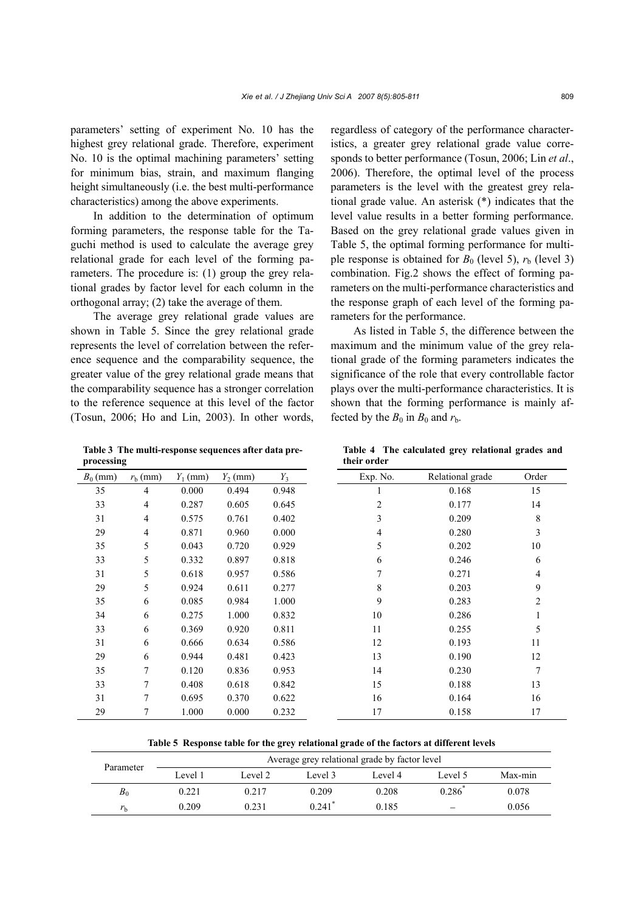parameters' setting of experiment No. 10 has the highest grey relational grade. Therefore, experiment No. 10 is the optimal machining parameters' setting for minimum bias, strain, and maximum flanging height simultaneously (i.e. the best multi-performance characteristics) among the above experiments.

In addition to the determination of optimum forming parameters, the response table for the Taguchi method is used to calculate the average grey relational grade for each level of the forming parameters. The procedure is: (1) group the grey relational grades by factor level for each column in the orthogonal array; (2) take the average of them.

The average grey relational grade values are shown in Table 5. Since the grey relational grade represents the level of correlation between the reference sequence and the comparability sequence, the greater value of the grey relational grade means that the comparability sequence has a stronger correlation to the reference sequence at this level of the factor (Tosun, 2006; Ho and Lin, 2003). In other words,

regardless of category of the performance characteristics, a greater grey relational grade value corresponds to better performance (Tosun, 2006; Lin *et al*., 2006). Therefore, the optimal level of the process parameters is the level with the greatest grey relational grade value. An asterisk (\*) indicates that the level value results in a better forming performance. Based on the grey relational grade values given in Table 5, the optimal forming performance for multiple response is obtained for  $B_0$  (level 5),  $r_b$  (level 3) combination. Fig.2 shows the effect of forming parameters on the multi-performance characteristics and the response graph of each level of the forming parameters for the performance.

As listed in Table 5, the difference between the maximum and the minimum value of the grey relational grade of the forming parameters indicates the significance of the role that every controllable factor plays over the multi-performance characteristics. It is shown that the forming performance is mainly affected by the  $B_0$  in  $B_0$  and  $r_b$ .

**Table 3 The multi-response sequences after data preprocessing** 

**Table 4 The calculated grey relational grades and their order** 

| processing |                  |            |            |       | their order |                  |                |  |
|------------|------------------|------------|------------|-------|-------------|------------------|----------------|--|
| $B_0$ (mm) | $r_{\rm b}$ (mm) | $Y_1$ (mm) | $Y_2$ (mm) | $Y_3$ | Exp. No.    | Relational grade | Order          |  |
| 35         | $\overline{4}$   | 0.000      | 0.494      | 0.948 |             | 0.168            | 15             |  |
| 33         | $\overline{4}$   | 0.287      | 0.605      | 0.645 | 2           | 0.177            | 14             |  |
| 31         | $\overline{4}$   | 0.575      | 0.761      | 0.402 | 3           | 0.209            | 8              |  |
| 29         | $\overline{4}$   | 0.871      | 0.960      | 0.000 | 4           | 0.280            | 3              |  |
| 35         | 5                | 0.043      | 0.720      | 0.929 | 5           | 0.202            | $10\,$         |  |
| 33         | 5                | 0.332      | 0.897      | 0.818 | 6           | 0.246            | 6              |  |
| 31         | 5                | 0.618      | 0.957      | 0.586 | 7           | 0.271            | $\overline{4}$ |  |
| 29         | 5                | 0.924      | 0.611      | 0.277 | 8           | 0.203            | 9              |  |
| 35         | 6                | 0.085      | 0.984      | 1.000 | 9           | 0.283            | $\overline{2}$ |  |
| 34         | 6                | 0.275      | 1.000      | 0.832 | 10          | 0.286            | 1              |  |
| 33         | 6                | 0.369      | 0.920      | 0.811 | 11          | 0.255            | 5              |  |
| 31         | 6                | 0.666      | 0.634      | 0.586 | 12          | 0.193            | 11             |  |
| 29         | 6                | 0.944      | 0.481      | 0.423 | 13          | 0.190            | 12             |  |
| 35         | 7                | 0.120      | 0.836      | 0.953 | 14          | 0.230            | 7              |  |
| 33         | 7                | 0.408      | 0.618      | 0.842 | 15          | 0.188            | 13             |  |
| 31         | $\tau$           | 0.695      | 0.370      | 0.622 | 16          | 0.164            | 16             |  |
| 29         | $\tau$           | 1.000      | 0.000      | 0.232 | 17          | 0.158            | 17             |  |

**Table 5 Response table for the grey relational grade of the factors at different levels** 

| Parameter   | Average grey relational grade by factor level |         |                      |         |                      |         |  |
|-------------|-----------------------------------------------|---------|----------------------|---------|----------------------|---------|--|
|             | Level 1                                       | Level 2 | Level 3              | Level 4 | Level 5              | Max-min |  |
| $B_0$       | 0.221                                         | 0.217   | 0.209                | 0.208   | $0.286$ <sup>*</sup> | 0.078   |  |
| $r_{\rm b}$ | 0.209                                         | 0.231   | $0.241$ <sup>*</sup> | 0.185   |                      | 0.056   |  |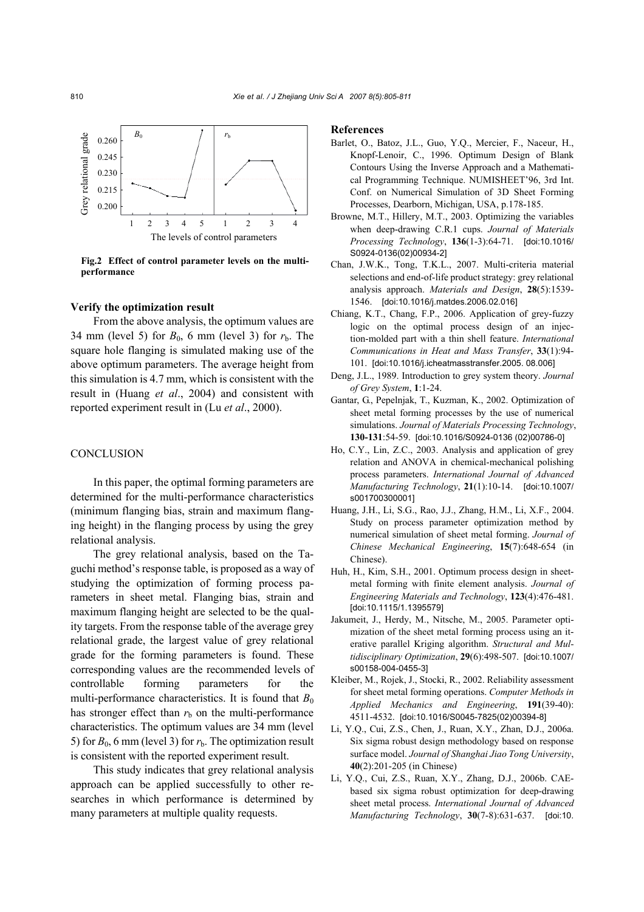

**Fig.2 Effect of control parameter levels on the multiperformance** 

#### **Verify the optimization result**

From the above analysis, the optimum values are 34 mm (level 5) for  $B_0$ , 6 mm (level 3) for  $r<sub>b</sub>$ . The square hole flanging is simulated making use of the above optimum parameters. The average height from this simulation is 4.7 mm, which is consistent with the result in (Huang *et al*., 2004) and consistent with reported experiment result in (Lu *et al*., 2000).

#### **CONCLUSION**

In this paper, the optimal forming parameters are determined for the multi-performance characteristics (minimum flanging bias, strain and maximum flanging height) in the flanging process by using the grey relational analysis.

The grey relational analysis, based on the Taguchi method's response table, is proposed as a way of studying the optimization of forming process parameters in sheet metal. Flanging bias, strain and maximum flanging height are selected to be the quality targets. From the response table of the average grey relational grade, the largest value of grey relational grade for the forming parameters is found. These corresponding values are the recommended levels of controllable forming parameters for the multi-performance characteristics. It is found that  $B_0$ has stronger effect than  $r<sub>b</sub>$  on the multi-performance characteristics. The optimum values are 34 mm (level 5) for  $B_0$ , 6 mm (level 3) for  $r<sub>b</sub>$ . The optimization result is consistent with the reported experiment result.

This study indicates that grey relational analysis approach can be applied successfully to other researches in which performance is determined by many parameters at multiple quality requests.

#### **References**

- Barlet, O., Batoz, J.L., Guo, Y.Q., Mercier, F., Naceur, H., Knopf-Lenoir, C., 1996. Optimum Design of Blank Contours Using the Inverse Approach and a Mathematical Programming Technique. NUMISHEET'96, 3rd Int. Conf. on Numerical Simulation of 3D Sheet Forming Processes, Dearborn, Michigan, USA, p.178-185.
- Browne, M.T., Hillery, M.T., 2003. Optimizing the variables when deep-drawing C.R.1 cups. *Journal of Materials Processing Technology*, **136**(1-3):64-71. [doi:10.1016/ S0924-0136(02)00934-2]
- Chan, J.W.K., Tong, T.K.L., 2007. Multi-criteria material selections and end-of-life product strategy: grey relational analysis approach. *Materials and Design*, **28**(5):1539- 1546. [doi:10.1016/j.matdes.2006.02.016]
- Chiang, K.T., Chang, F.P., 2006. Application of grey-fuzzy logic on the optimal process design of an injection-molded part with a thin shell feature. *International Communications in Heat and Mass Transfer*, **33**(1):94- 101. [doi:10.1016/j.icheatmasstransfer.2005. 08.006]
- Deng, J.L., 1989. Introduction to grey system theory. *Journal of Grey System*, **1**:1-24.
- Gantar, G., Pepelnjak, T., Kuzman, K., 2002. Optimization of sheet metal forming processes by the use of numerical simulations. *Journal of Materials Processing Technology*, **130-131**:54-59. [doi:10.1016/S0924-0136 (02)00786-0]
- Ho, C.Y., Lin, Z.C., 2003. Analysis and application of grey relation and ANOVA in chemical-mechanical polishing process parameters. *International Journal of Advanced Manufacturing Technology*, **21**(1):10-14. [doi:10.1007/ s001700300001]
- Huang, J.H., Li, S.G., Rao, J.J., Zhang, H.M., Li, X.F., 2004. Study on process parameter optimization method by numerical simulation of sheet metal forming. *Journal of Chinese Mechanical Engineering*, **15**(7):648-654 (in Chinese).
- Huh, H., Kim, S.H., 2001. Optimum process design in sheetmetal forming with finite element analysis. *Journal of Engineering Materials and Technology*, **123**(4):476-481. [doi:10.1115/1.1395579]
- Jakumeit, J., Herdy, M., Nitsche, M., 2005. Parameter optimization of the sheet metal forming process using an iterative parallel Kriging algorithm. *Structural and Multidisciplinary Optimization*, **29**(6):498-507. [doi:10.1007/ s00158-004-0455-3]
- Kleiber, M., Rojek, J., Stocki, R., 2002. Reliability assessment for sheet metal forming operations. *Computer Methods in Applied Mechanics and Engineering*, **191**(39-40): 4511-4532. [doi:10.1016/S0045-7825(02)00394-8]
- Li, Y.Q., Cui, Z.S., Chen, J., Ruan, X.Y., Zhan, D.J., 2006a. Six sigma robust design methodology based on response surface model. *Journal of Shanghai Jiao Tong University*, **40**(2):201-205 (in Chinese)
- Li, Y.Q., Cui, Z.S., Ruan, X.Y., Zhang, D.J., 2006b. CAEbased six sigma robust optimization for deep-drawing sheet metal process. *International Journal of Advanced Manufacturing Technology*, **30**(7-8):631-637. [doi:10.